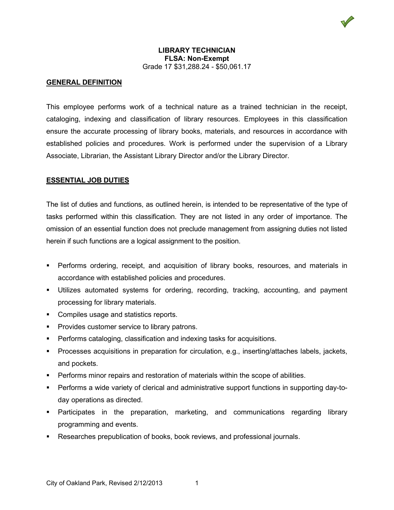## **LIBRARY TECHNICIAN FLSA: Non-Exempt** Grade 17 \$31,288.24 - \$50,061.17

# **GENERAL DEFINITION**

This employee performs work of a technical nature as a trained technician in the receipt, cataloging, indexing and classification of library resources. Employees in this classification ensure the accurate processing of library books, materials, and resources in accordance with established policies and procedures. Work is performed under the supervision of a Library Associate, Librarian, the Assistant Library Director and/or the Library Director.

# **ESSENTIAL JOB DUTIES**

The list of duties and functions, as outlined herein, is intended to be representative of the type of tasks performed within this classification. They are not listed in any order of importance. The omission of an essential function does not preclude management from assigning duties not listed herein if such functions are a logical assignment to the position.

- **Performs ordering, receipt, and acquisition of library books, resources, and materials in** accordance with established policies and procedures.
- Utilizes automated systems for ordering, recording, tracking, accounting, and payment processing for library materials.
- **Compiles usage and statistics reports.**
- **Provides customer service to library patrons.**
- **Performs cataloging, classification and indexing tasks for acquisitions.**
- Processes acquisitions in preparation for circulation, e.g., inserting/attaches labels, jackets, and pockets.
- Performs minor repairs and restoration of materials within the scope of abilities.
- Performs a wide variety of clerical and administrative support functions in supporting day-today operations as directed.
- Participates in the preparation, marketing, and communications regarding library programming and events.
- Researches prepublication of books, book reviews, and professional journals.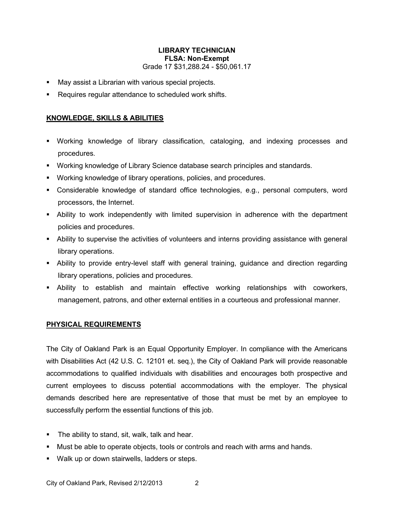## **LIBRARY TECHNICIAN FLSA: Non-Exempt** Grade 17 \$31,288.24 - \$50,061.17

- **May assist a Librarian with various special projects.**
- Requires regular attendance to scheduled work shifts.

#### **KNOWLEDGE, SKILLS & ABILITIES**

- Working knowledge of library classification, cataloging, and indexing processes and procedures.
- Working knowledge of Library Science database search principles and standards.
- Working knowledge of library operations, policies, and procedures.
- Considerable knowledge of standard office technologies, e.g., personal computers, word processors, the Internet.
- Ability to work independently with limited supervision in adherence with the department policies and procedures.
- Ability to supervise the activities of volunteers and interns providing assistance with general library operations.
- Ability to provide entry-level staff with general training, guidance and direction regarding library operations, policies and procedures.
- Ability to establish and maintain effective working relationships with coworkers, management, patrons, and other external entities in a courteous and professional manner.

#### **PHYSICAL REQUIREMENTS**

The City of Oakland Park is an Equal Opportunity Employer. In compliance with the Americans with Disabilities Act (42 U.S. C. 12101 et. seq.), the City of Oakland Park will provide reasonable accommodations to qualified individuals with disabilities and encourages both prospective and current employees to discuss potential accommodations with the employer. The physical demands described here are representative of those that must be met by an employee to successfully perform the essential functions of this job.

- **The ability to stand, sit, walk, talk and hear.**
- Must be able to operate objects, tools or controls and reach with arms and hands.
- Walk up or down stairwells, ladders or steps.